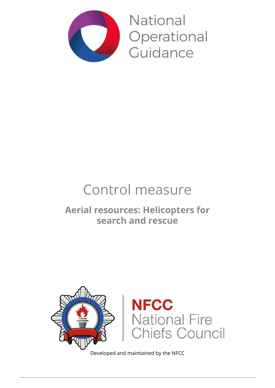

National Operational Guidance

# Control measure

# **Aerial resources: Helicopters for search and rescue**



Developed and maintained by the NFCC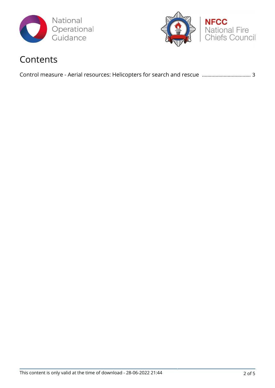



## Contents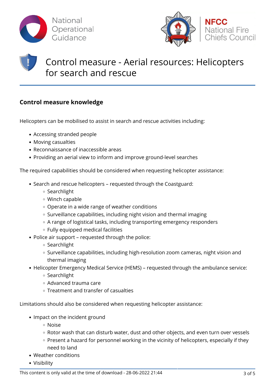



# Control measure - Aerial resources: Helicopters for search and rescue

### **Control measure knowledge**

Helicopters can be mobilised to assist in search and rescue activities including:

- Accessing stranded people
- Moving casualties
- Reconnaissance of inaccessible areas
- Providing an aerial view to inform and improve ground-level searches

The required capabilities should be considered when requesting helicopter assistance:

- Search and rescue helicopters requested through the Coastguard:
	- Searchlight
	- Winch capable
	- Operate in a wide range of weather conditions
	- $\circ$  Surveillance capabilities, including night vision and thermal imaging
	- A range of logistical tasks, including transporting emergency responders
	- Fully equipped medical facilities
- Police air support requested through the police:
	- o Searchlight
	- o Surveillance capabilities, including high-resolution zoom cameras, night vision and thermal imaging
- Helicopter Emergency Medical Service (HEMS) requested through the ambulance service:
	- Searchlight
	- Advanced trauma care
	- Treatment and transfer of casualties

Limitations should also be considered when requesting helicopter assistance:

- Impact on the incident ground
	- Noise
	- Rotor wash that can disturb water, dust and other objects, and even turn over vessels
	- Present a hazard for personnel working in the vicinity of helicopters, especially if they need to land
- Weather conditions
- Visibility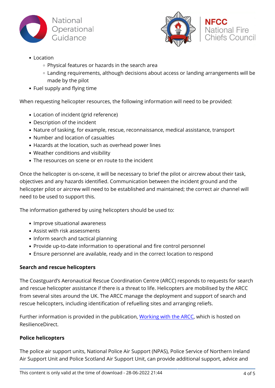



**NFCC** 

**Chiefs Council** 

#### • Location

- Physical features or hazards in the search area
- Landing requirements, although decisions about access or landing arrangements will be made by the pilot
- Fuel supply and flying time

When requesting helicopter resources, the following information will need to be provided:

- Location of incident (grid reference)
- Description of the incident
- Nature of tasking, for example, rescue, reconnaissance, medical assistance, transport
- Number and location of casualties
- Hazards at the location, such as overhead power lines
- Weather conditions and visibility
- The resources on scene or en route to the incident

Once the helicopter is on-scene, it will be necessary to brief the pilot or aircrew about their task, objectives and any hazards identified. Communication between the incident ground and the helicopter pilot or aircrew will need to be established and maintained; the correct air channel will need to be used to support this.

The information gathered by using helicopters should be used to:

- Improve situational awareness
- Assist with risk assessments
- Inform search and tactical planning
- Provide up-to-date information to operational and fire control personnel
- Ensure personnel are available, ready and in the correct location to respond

#### **Search and rescue helicopters**

The Coastguard's Aeronautical Rescue Coordination Centre (ARCC) responds to requests for search and rescue helicopter assistance if there is a threat to life. Helicopters are mobilised by the ARCC from several sites around the UK. The ARCC manage the deployment and support of search and rescue helicopters, including identification of refuelling sites and arranging reliefs.

Further information is provided in the publication, [Working with the ARCC](https://collaborate.resilience.gov.uk/RDService/home/220234/UK-Aeronautical-Rescue-Coordination-Centre), which is hosted on ResilienceDirect.

#### **Police helicopters**

The police air support units, National Police Air Support (NPAS), Police Service of Northern Ireland Air Support Unit and Police Scotland Air Support Unit, can provide additional support, advice and